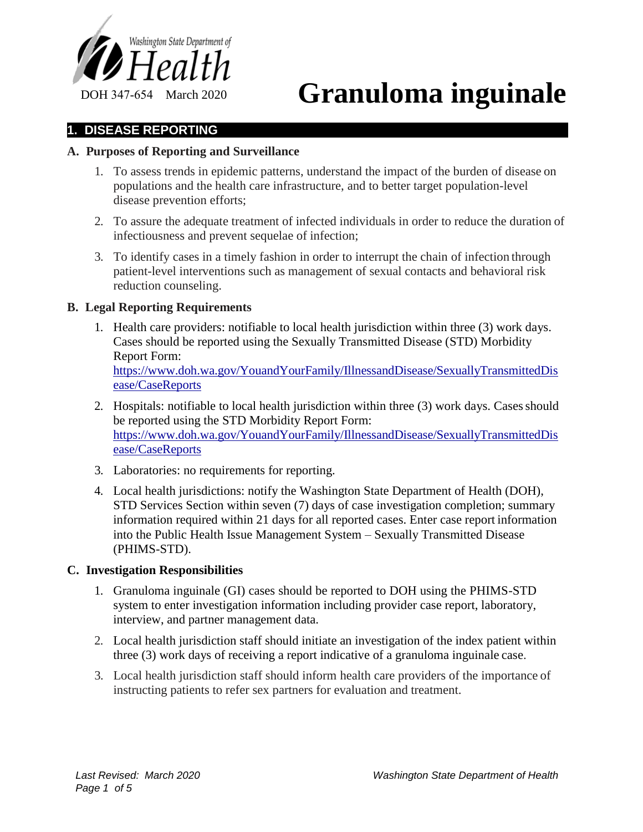

# DOH 347-654 March 2020 **Granuloma inguinale**

## **1. DISEASE REPORTING**

### **A. Purposes of Reporting and Surveillance**

- 1. To assess trends in epidemic patterns, understand the impact of the burden of disease on populations and the health care infrastructure, and to better target population-level disease prevention efforts;
- 2. To assure the adequate treatment of infected individuals in order to reduce the duration of infectiousness and prevent sequelae of infection;
- 3. To identify cases in a timely fashion in order to interrupt the chain of infection through patient-level interventions such as management of sexual contacts and behavioral risk reduction counseling.

## **B. Legal Reporting Requirements**

- 1. Health care providers: notifiable to local health jurisdiction within three (3) work days. Cases should be reported using the Sexually Transmitted Disease (STD) Morbidity Report Form: https://www.doh.wa.gov/YouandYourFamily/IllnessandDisease/SexuallyTransmittedDis ease/CaseReports
- 2. Hospitals: notifiable to local health jurisdiction within three (3) work days. Cases should be reported using the STD Morbidity Report Form: https://www.doh.wa.gov/YouandYourFamily/IllnessandDisease/SexuallyTransmittedDis ease/CaseReports
- 3. Laboratories: no requirements for reporting.
- 4. Local health jurisdictions: notify the Washington State Department of Health (DOH), STD Services Section within seven (7) days of case investigation completion; summary information required within 21 days for all reported cases. Enter case report information into the Public Health Issue Management System – Sexually Transmitted Disease (PHIMS-STD).

## **C. Investigation Responsibilities**

- 1. Granuloma inguinale (GI) cases should be reported to DOH using the PHIMS-STD system to enter investigation information including provider case report, laboratory, interview, and partner management data.
- 2. Local health jurisdiction staff should initiate an investigation of the index patient within three (3) work days of receiving a report indicative of a granuloma inguinale case.
- 3. Local health jurisdiction staff should inform health care providers of the importance of instructing patients to refer sex partners for evaluation and treatment.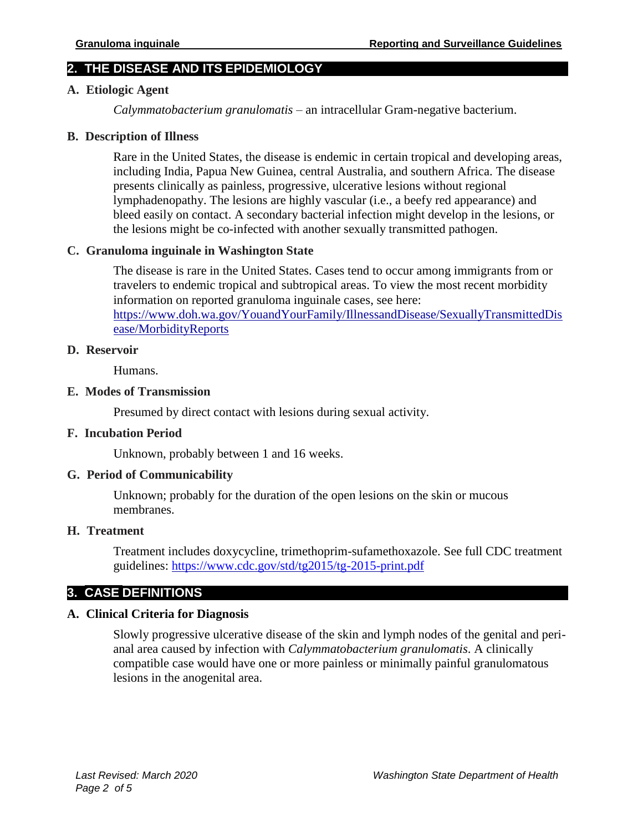# **2. THE DISEASE AND ITS EPIDEMIOLOGY**

## **A. Etiologic Agent**

*Calymmatobacterium granulomatis* – an intracellular Gram-negative bacterium.

#### **B. Description of Illness**

Rare in the United States, the disease is endemic in certain tropical and developing areas, including India, Papua New Guinea, central Australia, and southern Africa. The disease presents clinically as painless, progressive, ulcerative lesions without regional lymphadenopathy. The lesions are highly vascular (i.e., a beefy red appearance) and bleed easily on contact. A secondary bacterial infection might develop in the lesions, or the lesions might be co-infected with another sexually transmitted pathogen.

## **C. Granuloma inguinale in Washington State**

The disease is rare in the United States. Cases tend to occur among immigrants from or travelers to endemic tropical and subtropical areas. To view the most recent morbidity information on reported granuloma inguinale cases, see here: https://www.doh.wa.gov/YouandYourFamily/IllnessandDisease/SexuallyTransmittedDis ease/MorbidityReports

#### **D. Reservoir**

Humans.

#### **E. Modes of Transmission**

Presumed by direct contact with lesions during sexual activity.

## **F. Incubation Period**

Unknown, probably between 1 and 16 weeks.

## **G. Period of Communicability**

Unknown; probably for the duration of the open lesions on the skin or mucous membranes.

#### **H. Treatment**

Treatment includes doxycycline, trimethoprim-sufamethoxazole. See full CDC treatment guidelines:<https://www.cdc.gov/std/tg2015/tg-2015-print.pdf>

# **3. CASE DEFINITIONS**

## **A. Clinical Criteria for Diagnosis**

Slowly progressive ulcerative disease of the skin and lymph nodes of the genital and perianal area caused by infection with *Calymmatobacterium granulomatis*. A clinically compatible case would have one or more painless or minimally painful granulomatous lesions in the anogenital area.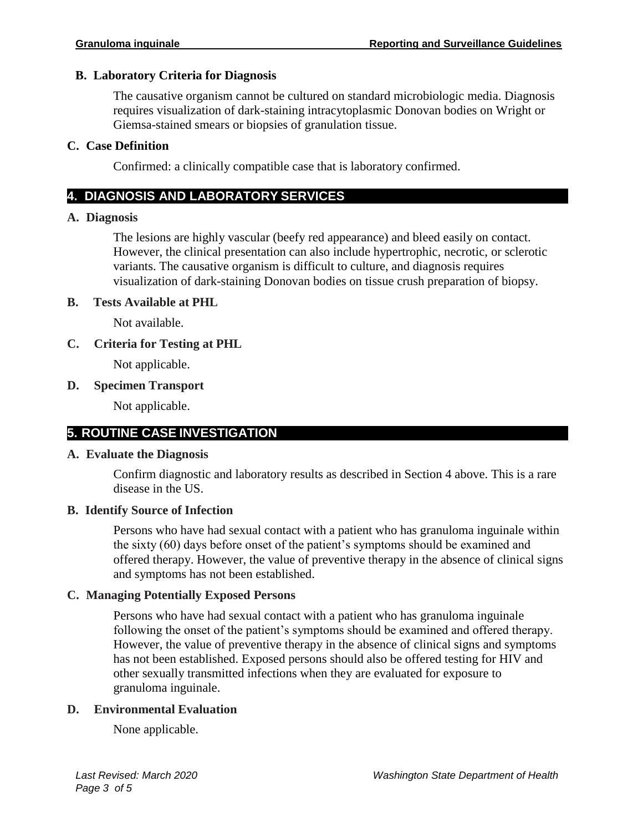## **B. Laboratory Criteria for Diagnosis**

The causative organism cannot be cultured on standard microbiologic media. Diagnosis requires visualization of dark-staining intracytoplasmic Donovan bodies on Wright or Giemsa-stained smears or biopsies of granulation tissue.

## **C. Case Definition**

Confirmed: a clinically compatible case that is laboratory confirmed.

# **4. DIAGNOSIS AND LABORATORY SERVICES**

## **A. Diagnosis**

The lesions are highly vascular (beefy red appearance) and bleed easily on contact. However, the clinical presentation can also include hypertrophic, necrotic, or sclerotic variants. The causative organism is difficult to culture, and diagnosis requires visualization of dark-staining Donovan bodies on tissue crush preparation of biopsy.

## **B. Tests Available at PHL**

Not available.

# **C. Criteria for Testing at PHL**

Not applicable.

## **D. Specimen Transport**

Not applicable.

# **5. ROUTINE CASE INVESTIGATION**

## **A. Evaluate the Diagnosis**

Confirm diagnostic and laboratory results as described in Section 4 above. This is a rare disease in the US.

# **B. Identify Source of Infection**

Persons who have had sexual contact with a patient who has granuloma inguinale within the sixty (60) days before onset of the patient's symptoms should be examined and offered therapy. However, the value of preventive therapy in the absence of clinical signs and symptoms has not been established.

## **C. Managing Potentially Exposed Persons**

Persons who have had sexual contact with a patient who has granuloma inguinale following the onset of the patient's symptoms should be examined and offered therapy. However, the value of preventive therapy in the absence of clinical signs and symptoms has not been established. Exposed persons should also be offered testing for HIV and other sexually transmitted infections when they are evaluated for exposure to granuloma inguinale.

## **D. Environmental Evaluation**

None applicable.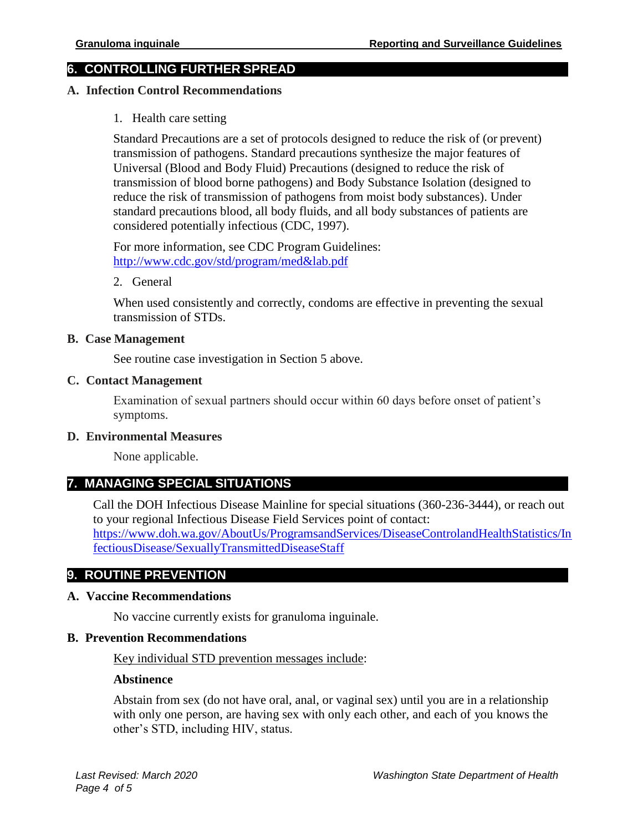# **6. CONTROLLING FURTHER SPREAD**

#### **A. Infection Control Recommendations**

1. Health care setting

Standard Precautions are a set of protocols designed to reduce the risk of (or prevent) transmission of pathogens. Standard precautions synthesize the major features of Universal (Blood and Body Fluid) Precautions (designed to reduce the risk of transmission of blood borne pathogens) and Body Substance Isolation (designed to reduce the risk of transmission of pathogens from moist body substances). Under standard precautions blood, all body fluids, and all body substances of patients are considered potentially infectious (CDC, 1997).

For more information, see CDC Program Guidelines: [http://www.cdc.gov/std/program/med&lab.pdf](http://www.cdc.gov/std/program/med%26lab.pdf)

2. General

When used consistently and correctly, condoms are effective in preventing the sexual transmission of STDs.

#### **B. Case Management**

See routine case investigation in Section 5 above.

#### **C. Contact Management**

Examination of sexual partners should occur within 60 days before onset of patient's symptoms.

#### **D. Environmental Measures**

None applicable.

# **7. MANAGING SPECIAL SITUATIONS**

**8.** Call the DOH Infectious Disease Mainline for special situations (360-236-3444), or reach out to your regional Infectious Disease Field Services point of contact: [https://www.doh.wa.gov/AboutUs/ProgramsandServices/DiseaseControlandHealthStatistics/In](https://www.doh.wa.gov/AboutUs/ProgramsandServices/DiseaseControlandHealthStatistics/InfectiousDisease/SexuallyTransmittedDiseaseStaff) [fectiousDisease/SexuallyTransmittedDiseaseStaff](https://www.doh.wa.gov/AboutUs/ProgramsandServices/DiseaseControlandHealthStatistics/InfectiousDisease/SexuallyTransmittedDiseaseStaff)

# **9. ROUTINE PREVENTION**

#### **A. Vaccine Recommendations**

No vaccine currently exists for granuloma inguinale.

#### **B. Prevention Recommendations**

Key individual STD prevention messages include:

#### **Abstinence**

Abstain from sex (do not have oral, anal, or vaginal sex) until you are in a relationship with only one person, are having sex with only each other, and each of you knows the other's STD, including HIV, status.